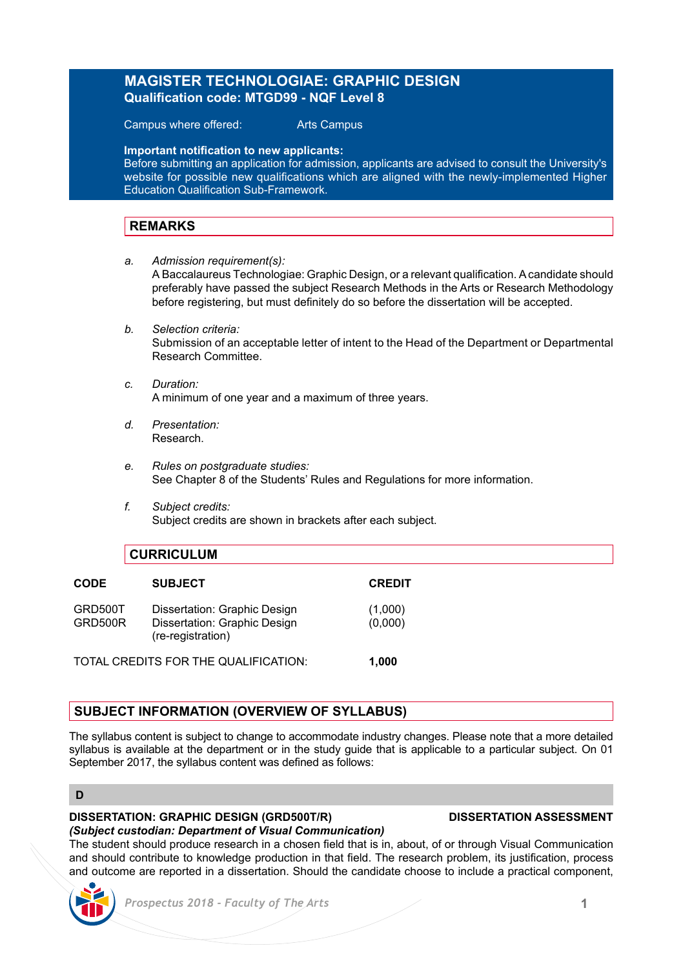# **MAGISTER TECHNOLOGIAE: GRAPHIC DESIGN Qualification code: MTGD99 - NQF Level 8**

Campus where offered: Arts Campus

**Important notification to new applicants:**

Before submitting an application for admission, applicants are advised to consult the University's website for possible new qualifications which are aligned with the newly-implemented Higher Education Qualification Sub-Framework.

## **REMARKS**

- *a. Admission requirement(s):* A Baccalaureus Technologiae: Graphic Design, or a relevant qualification. A candidate should preferably have passed the subject Research Methods in the Arts or Research Methodology before registering, but must definitely do so before the dissertation will be accepted.
- *b. Selection criteria:*  Submission of an acceptable letter of intent to the Head of the Department or Departmental Research Committee.
- *c. Duration:* A minimum of one year and a maximum of three years.
- *d. Presentation:* Research.
- *e. Rules on postgraduate studies:* See Chapter 8 of the Students' Rules and Regulations for more information.
- *f. Subject credits:* Subject credits are shown in brackets after each subject.

## **CURRICULUM**

| <b>CODE</b>                          | <b>SUBJECT</b>                                                                    | <b>CREDIT</b>      |
|--------------------------------------|-----------------------------------------------------------------------------------|--------------------|
| GRD500T<br>GRD500R                   | Dissertation: Graphic Design<br>Dissertation: Graphic Design<br>(re-registration) | (1,000)<br>(0,000) |
| TOTAL CREDITS FOR THE QUALIFICATION: |                                                                                   | 1.000              |

# **SUBJECT INFORMATION (OVERVIEW OF SYLLABUS)**

The syllabus content is subject to change to accommodate industry changes. Please note that a more detailed syllabus is available at the department or in the study guide that is applicable to a particular subject. On 01 September 2017, the syllabus content was defined as follows:

### **D**

## **DISSERTATION: GRAPHIC DESIGN (GRD500T/R) DISSERTATION ASSESSMENT**

## *(Subject custodian: Department of Visual Communication)*

The student should produce research in a chosen field that is in, about, of or through Visual Communication and should contribute to knowledge production in that field. The research problem, its justification, process and outcome are reported in a dissertation. Should the candidate choose to include a practical component,